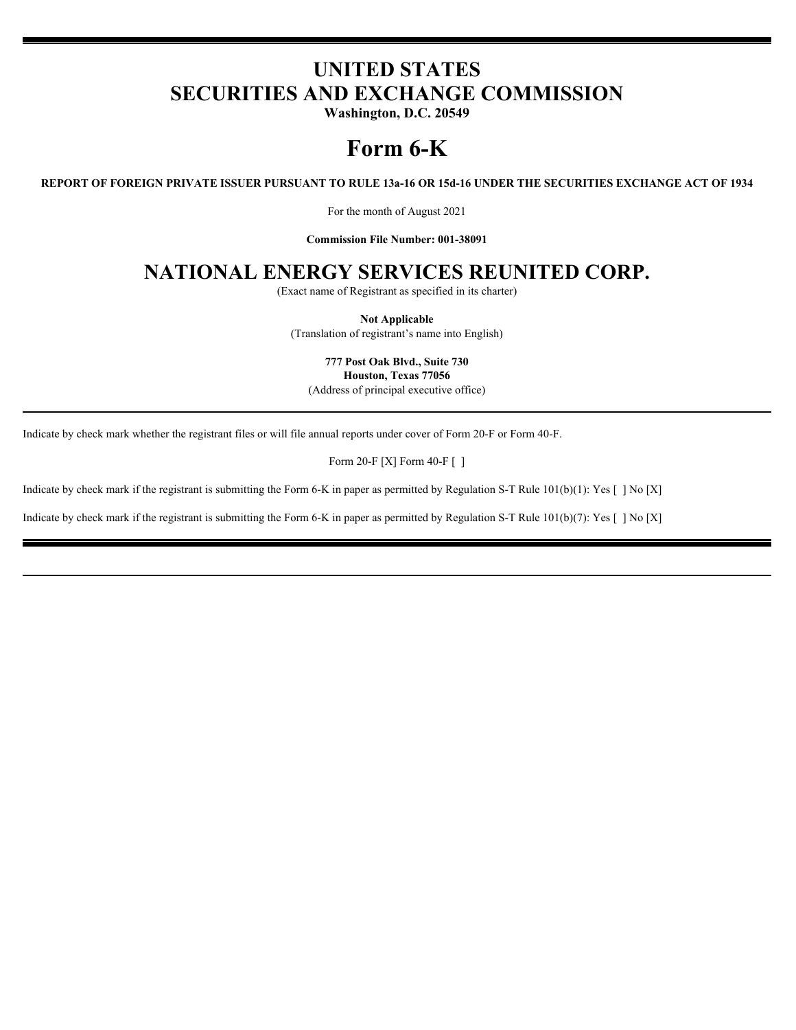## **UNITED STATES SECURITIES AND EXCHANGE COMMISSION**

**Washington, D.C. 20549**

# **Form 6-K**

**REPORT OF FOREIGN PRIVATE ISSUER PURSUANT TO RULE 13a-16 OR 15d-16 UNDER THE SECURITIES EXCHANGE ACT OF 1934**

For the month of August 2021

**Commission File Number: 001-38091**

## **NATIONAL ENERGY SERVICES REUNITED CORP.**

(Exact name of Registrant as specified in its charter)

**Not Applicable**

(Translation of registrant's name into English)

**777 Post Oak Blvd., Suite 730 Houston, Texas 77056** (Address of principal executive office)

Indicate by check mark whether the registrant files or will file annual reports under cover of Form 20-F or Form 40-F.

Form 20-F [X] Form 40-F [ ]

Indicate by check mark if the registrant is submitting the Form 6-K in paper as permitted by Regulation S-T Rule  $101(b)(1)$ : Yes  $[ \ ]$  No  $[X]$ 

Indicate by check mark if the registrant is submitting the Form 6-K in paper as permitted by Regulation S-T Rule  $101(b)(7)$ : Yes  $[ ]$  No  $[$ X $]$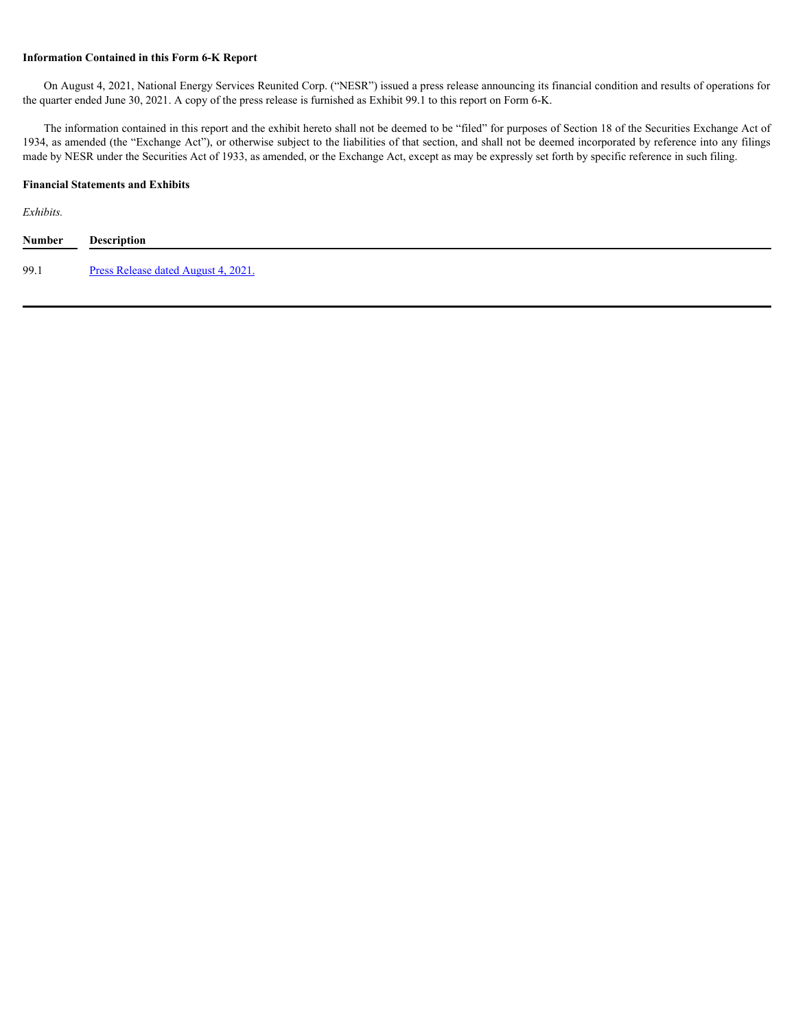#### **Information Contained in this Form 6-K Report**

On August 4, 2021, National Energy Services Reunited Corp. ("NESR") issued a press release announcing its financial condition and results of operations for the quarter ended June 30, 2021. A copy of the press release is furnished as Exhibit 99.1 to this report on Form 6-K.

The information contained in this report and the exhibit hereto shall not be deemed to be "filed" for purposes of Section 18 of the Securities Exchange Act of 1934, as amended (the "Exchange Act"), or otherwise subject to the liabilities of that section, and shall not be deemed incorporated by reference into any filings made by NESR under the Securities Act of 1933, as amended, or the Exchange Act, except as may be expressly set forth by specific reference in such filing.

#### **Financial Statements and Exhibits**

*Exhibits.*

| <b>Number</b> | Description                         |
|---------------|-------------------------------------|
| 99.1          | Press Release dated August 4, 2021. |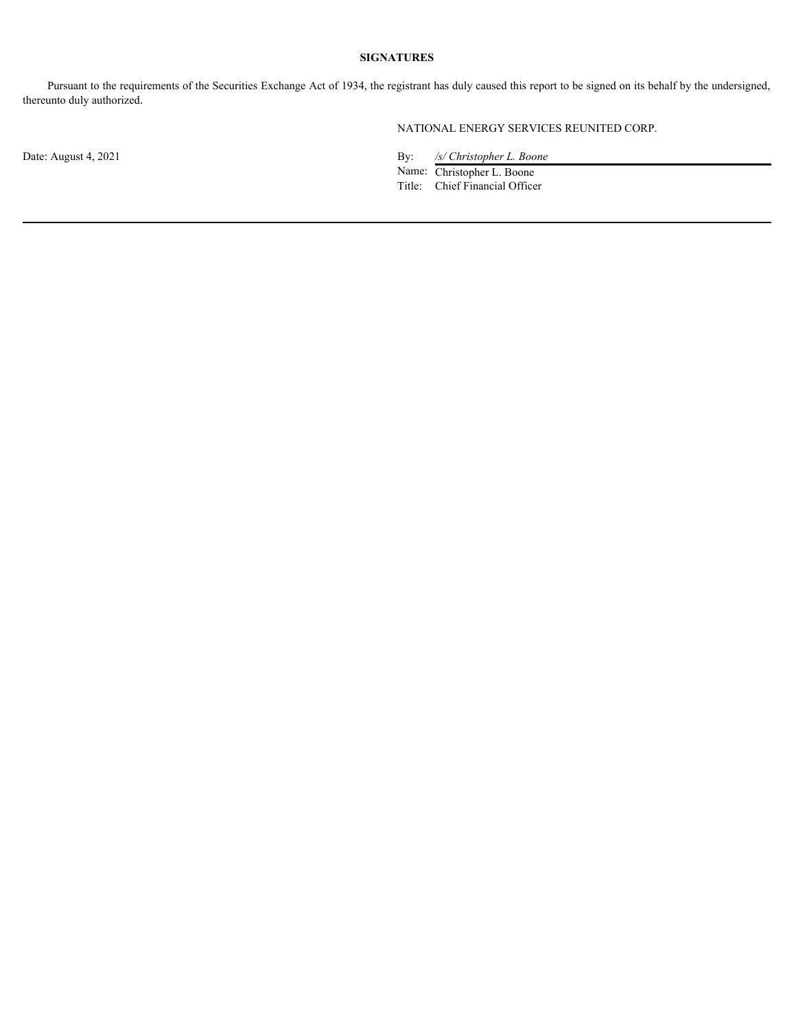### **SIGNATURES**

Pursuant to the requirements of the Securities Exchange Act of 1934, the registrant has duly caused this report to be signed on its behalf by the undersigned, thereunto duly authorized.

NATIONAL ENERGY SERVICES REUNITED CORP.

Date: August 4, 2021 By: */s/ Christopher L. Boone* 

Name: Christopher L. Boone Title: Chief Financial Officer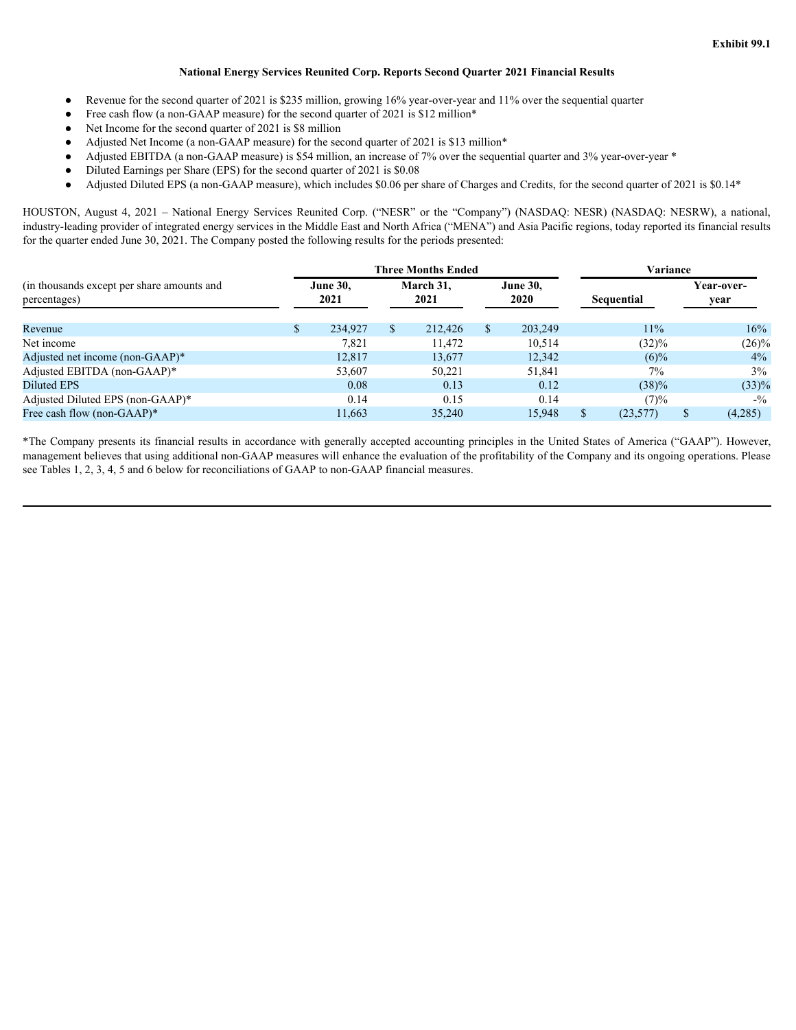#### **National Energy Services Reunited Corp. Reports Second Quarter 2021 Financial Results**

- <span id="page-3-0"></span>Revenue for the second quarter of 2021 is \$235 million, growing 16% year-over-year and 11% over the sequential quarter
- Free cash flow (a non-GAAP measure) for the second quarter of 2021 is \$12 million\*
- Net Income for the second quarter of 2021 is \$8 million
- Adjusted Net Income (a non-GAAP measure) for the second quarter of 2021 is \$13 million\*
- Adjusted EBITDA (a non-GAAP measure) is \$54 million, an increase of 7% over the sequential quarter and 3% year-over-year \*
- Diluted Earnings per Share (EPS) for the second quarter of 2021 is \$0.08
- Adjusted Diluted EPS (a non-GAAP measure), which includes \$0.06 per share of Charges and Credits, for the second quarter of 2021 is \$0.14\*

|                                                                                                                                                                                                                                                                                                                                                                                                                            |                 |    |                                        |    |                 |                  | <b>Exhibit 99.1</b> |                          |
|----------------------------------------------------------------------------------------------------------------------------------------------------------------------------------------------------------------------------------------------------------------------------------------------------------------------------------------------------------------------------------------------------------------------------|-----------------|----|----------------------------------------|----|-----------------|------------------|---------------------|--------------------------|
|                                                                                                                                                                                                                                                                                                                                                                                                                            |                 |    |                                        |    |                 |                  |                     |                          |
| <b>National Energy Services Reunited Corp. Reports Second Quarter 2021 Financial Results</b>                                                                                                                                                                                                                                                                                                                               |                 |    |                                        |    |                 |                  |                     |                          |
|                                                                                                                                                                                                                                                                                                                                                                                                                            |                 |    |                                        |    |                 |                  |                     |                          |
| Revenue for the second quarter of 2021 is \$235 million, growing 16% year-over-year and 11% over the sequential quarter<br>$\bullet$<br>Free cash flow (a non-GAAP measure) for the second quarter of 2021 is \$12 million*                                                                                                                                                                                                |                 |    |                                        |    |                 |                  |                     |                          |
| Net Income for the second quarter of 2021 is \$8 million                                                                                                                                                                                                                                                                                                                                                                   |                 |    |                                        |    |                 |                  |                     |                          |
| Adjusted Net Income (a non-GAAP measure) for the second quarter of 2021 is \$13 million*                                                                                                                                                                                                                                                                                                                                   |                 |    |                                        |    |                 |                  |                     |                          |
| Adjusted EBITDA (a non-GAAP measure) is \$54 million, an increase of 7% over the sequential quarter and 3% year-over-year *                                                                                                                                                                                                                                                                                                |                 |    |                                        |    |                 |                  |                     |                          |
| Diluted Earnings per Share (EPS) for the second quarter of 2021 is \$0.08<br>Adjusted Diluted EPS (a non-GAAP measure), which includes \$0.06 per share of Charges and Credits, for the second quarter of 2021 is \$0.14*                                                                                                                                                                                                  |                 |    |                                        |    |                 |                  |                     |                          |
| $\bullet$                                                                                                                                                                                                                                                                                                                                                                                                                  |                 |    |                                        |    |                 |                  |                     |                          |
| HOUSTON, August 4, 2021 - National Energy Services Reunited Corp. ("NESR" or the "Company") (NASDAQ: NESR) (NASDAQ: NESRW), a national,<br>industry-leading provider of integrated energy services in the Middle East and North Africa ("MENA") and Asia Pacific regions, today reported its financial results<br>for the quarter ended June 30, 2021. The Company posted the following results for the periods presented: |                 |    |                                        |    |                 |                  |                     |                          |
|                                                                                                                                                                                                                                                                                                                                                                                                                            | <b>June 30,</b> |    | <b>Three Months Ended</b><br>March 31, |    | <b>June 30,</b> | Variance         | Year-over-          |                          |
|                                                                                                                                                                                                                                                                                                                                                                                                                            |                 |    | 2021                                   |    | 2020            | Sequential       | vear                |                          |
| (in thousands except per share amounts and                                                                                                                                                                                                                                                                                                                                                                                 | 2021            |    |                                        |    |                 |                  |                     |                          |
| percentages)                                                                                                                                                                                                                                                                                                                                                                                                               |                 |    |                                        |    |                 |                  |                     |                          |
| Revenue                                                                                                                                                                                                                                                                                                                                                                                                                    | 234,927<br>£.   | -8 | 212,426                                | -S | 203,249         | 11%              |                     | 16%                      |
| Net income                                                                                                                                                                                                                                                                                                                                                                                                                 | 7,821           |    | 11,472                                 |    | 10,514          | $(32)\%$         |                     | $(26)\%$                 |
| Adjusted net income (non-GAAP)*                                                                                                                                                                                                                                                                                                                                                                                            | 12,817          |    | 13,677                                 |    | 12,342          | $(6)\%$          |                     | 4%                       |
| Adjusted EBITDA (non-GAAP)*                                                                                                                                                                                                                                                                                                                                                                                                | 53,607          |    | 50,221                                 |    | 51,841          | 7%               |                     | 3%                       |
| <b>Diluted EPS</b><br>Adjusted Diluted EPS (non-GAAP)*                                                                                                                                                                                                                                                                                                                                                                     | 0.08<br>0.14    |    | 0.13<br>0.15                           |    | 0.12<br>0.14    | $(38)\%$<br>(7)% |                     | (33)%<br>$- \frac{0}{0}$ |

\*The Company presents its financial results in accordance with generally accepted accounting principles in the United States of America ("GAAP"). However, management believes that using additional non-GAAP measures will enhance the evaluation of the profitability of the Company and its ongoing operations. Please see Tables 1, 2, 3, 4, 5 and 6 below for reconciliations of GAAP to non-GAAP financial measures.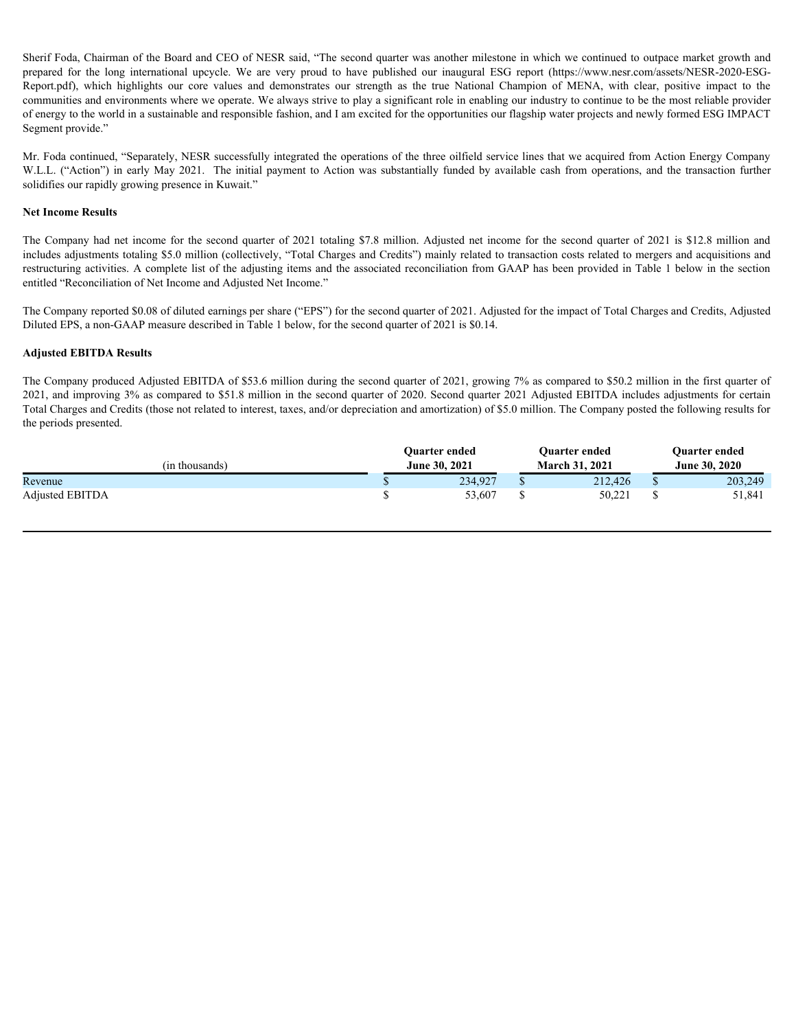Sherif Foda, Chairman of the Board and CEO of NESR said, "The second quarter was another milestone in which we continued to outpace market growth and Sherif Foda, Chairman of the Board and CEO of NESR said, "The second quarter was another milestone in which we continued to outpace market growth and prepared for the long international upcycle. We are very proud to have p Sherif Foda, Chairman of the Board and CEO of NESR said, "The second quarter was another milestone in which we continued to outpace market growth and prepared for the long international upcycle. We are very proud to have p communities and environments where we operate. We always strive to play a significant role in enabling our industry to continue to be the most reliable provider of energy to the world in a sustainable and responsible fashion, and I am excited for the opportunities our flagship water projects and newly formed ESG IMPACT Segment provide." Sherif Foda, Chairman of the Board and CEO of NESR said, "The second quarter was another milestone in which we continued to outpace market growth and<br>prepared for the long international upcycle. We are very proud to have p Sherif Foda, Chairman of the Board and CEO of NESR said, "The second quarter was another milestone in which we continued to outpace market growth and<br>prepared for the long international upcycle. We are very proof to have p

Mr. Foda continued, "Separately, NESR successfully integrated the operations of the three oilfield service lines that we acquired from Action Energy Company solidifies our rapidly growing presence in Kuwait."

#### **Net Income Results**

includes adjustments totaling \$5.0 million (collectively, "Total Charges and Credits") mainly related to transaction costs related to mergers and acquisitions and restructuring activities. A complete list of the adjusting items and the associated reconciliation from GAAP has been provided in Table 1 below in the section entitled "Reconciliation of Net Income and Adjusted Net Income."

The Company reported \$0.08 of diluted earnings per share ("EPS") for the second quarter of 2021. Adjusted for the impact of Total Charges and Credits, Adjusted Diluted EPS, a non-GAAP measure described in Table 1 below, for the second quarter of 2021 is \$0.14.

#### **Adjusted EBITDA Results**

The Company produced Adjusted EBITDA of \$53.6 million during the second quarter of 2021, growing 7% as compared to \$50.2 million in the first quarter of 2021, and improving 3% as compared to \$51.8 million in the second quarter of 2020. Second quarter 2021 Adjusted EBITDA includes adjustments for certain Total Charges and Credits (those not related to interest, taxes, and/or depreciation and amortization) of \$5.0 million. The Company posted the following results for the periods presented.

|                 | <b>Ouarter ended</b> | <b>Ouarter ended</b>  | <b>Ouarter ended</b> |  |  |
|-----------------|----------------------|-----------------------|----------------------|--|--|
| (in thousands)  | <b>June 30, 2021</b> | <b>March 31, 2021</b> | June 30, 2020        |  |  |
| Revenue         | 234,927              | 212,426               | 203,249              |  |  |
| Adjusted EBITDA | 53,607               | 50,221                | 51,841               |  |  |
|                 |                      |                       |                      |  |  |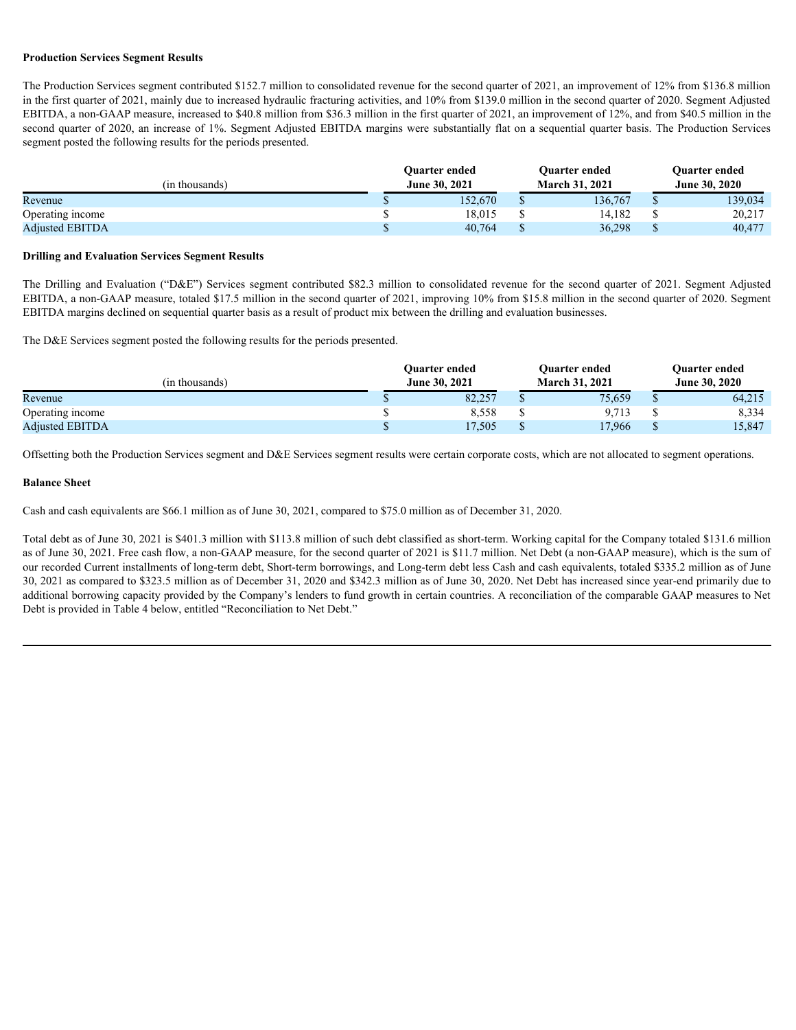#### **Production Services Segment Results**

| <b>Production Services Segment Results</b>                      |                                                                                                                                                                                                                                                                                                                                                                                                                                                                                                                                                                                                                                                                       |                          |               |                                        |                |                          |
|-----------------------------------------------------------------|-----------------------------------------------------------------------------------------------------------------------------------------------------------------------------------------------------------------------------------------------------------------------------------------------------------------------------------------------------------------------------------------------------------------------------------------------------------------------------------------------------------------------------------------------------------------------------------------------------------------------------------------------------------------------|--------------------------|---------------|----------------------------------------|----------------|--------------------------|
|                                                                 | The Production Services segment contributed \$152.7 million to consolidated revenue for the second quarter of 2021, an improvement of 12% from \$136.8 million<br>in the first quarter of 2021, mainly due to increased hydraulic fracturing activities, and 10% from \$139.0 million in the second quarter of 2020. Segment Adjusted<br>EBITDA, a non-GAAP measure, increased to \$40.8 million from \$36.3 million in the first quarter of 2021, an improvement of 12%, and from \$40.5 million in the<br>second quarter of 2020, an increase of 1%. Segment Adjusted EBITDA margins were substantially flat on a sequential quarter basis. The Production Services |                          |               |                                        |                |                          |
|                                                                 |                                                                                                                                                                                                                                                                                                                                                                                                                                                                                                                                                                                                                                                                       |                          |               |                                        |                |                          |
| segment posted the following results for the periods presented. |                                                                                                                                                                                                                                                                                                                                                                                                                                                                                                                                                                                                                                                                       |                          |               |                                        |                |                          |
|                                                                 |                                                                                                                                                                                                                                                                                                                                                                                                                                                                                                                                                                                                                                                                       | <b>Ouarter ended</b>     |               | <b>Ouarter</b> ended<br>March 31, 2021 |                | <b>Ouarter</b> ended     |
| Revenue                                                         | (in thousands)                                                                                                                                                                                                                                                                                                                                                                                                                                                                                                                                                                                                                                                        | June 30, 2021<br>152,670 | <sup>\$</sup> | 136,767                                | $\mathbb{S}^-$ | June 30, 2020<br>139,034 |
| Operating income                                                |                                                                                                                                                                                                                                                                                                                                                                                                                                                                                                                                                                                                                                                                       | 18,015                   | $\mathbb{S}$  | 14,182                                 | $\mathbb{S}$   | 20,217                   |
| <b>Adjusted EBITDA</b>                                          |                                                                                                                                                                                                                                                                                                                                                                                                                                                                                                                                                                                                                                                                       | 40,764                   | $\mathbb{S}$  | 36,298                                 | $\mathbf{s}$   | 40,477                   |
| <b>Drilling and Evaluation Services Segment Results</b>         |                                                                                                                                                                                                                                                                                                                                                                                                                                                                                                                                                                                                                                                                       |                          |               |                                        |                |                          |
|                                                                 |                                                                                                                                                                                                                                                                                                                                                                                                                                                                                                                                                                                                                                                                       |                          |               |                                        |                |                          |
|                                                                 | The Drilling and Evaluation ("D&E") Services segment contributed \$82.3 million to consolidated revenue for the second quarter of 2021. Segment Adjusted                                                                                                                                                                                                                                                                                                                                                                                                                                                                                                              |                          |               |                                        |                |                          |
|                                                                 | EBITDA, a non-GAAP measure, totaled \$17.5 million in the second quarter of 2021, improving 10% from \$15.8 million in the second quarter of 2020. Segment                                                                                                                                                                                                                                                                                                                                                                                                                                                                                                            |                          |               |                                        |                |                          |
|                                                                 | EBITDA margins declined on sequential quarter basis as a result of product mix between the drilling and evaluation businesses.                                                                                                                                                                                                                                                                                                                                                                                                                                                                                                                                        |                          |               |                                        |                |                          |
|                                                                 | The D&E Services segment posted the following results for the periods presented.                                                                                                                                                                                                                                                                                                                                                                                                                                                                                                                                                                                      |                          |               |                                        |                |                          |
|                                                                 |                                                                                                                                                                                                                                                                                                                                                                                                                                                                                                                                                                                                                                                                       | <b>Ouarter ended</b>     |               | Quarter ended                          |                | <b>Quarter</b> ended     |

#### **Drilling and Evaluation Services Segment Results**

| (in thousands)         | <b>Ouarter ended</b><br>June 30, 2021 | <b>Ouarter ended</b><br><b>March 31, 2021</b> | Quarter ended<br>June 30, 2020 |        |  |
|------------------------|---------------------------------------|-----------------------------------------------|--------------------------------|--------|--|
| Revenue                | 82,257                                | 75,659                                        |                                | 64,215 |  |
| Operating income       | 8,558                                 | 9,713                                         |                                | 8,334  |  |
| <b>Adjusted EBITDA</b> | 17,505                                | 17,966                                        |                                | 15,847 |  |
|                        |                                       |                                               |                                |        |  |

Offsetting both the Production Services segment and D&E Services segment results were certain corporate costs, which are not allocated to segment operations.

#### **Balance Sheet**

Cash and cash equivalents are \$66.1 million as of June 30, 2021, compared to \$75.0 million as of December 31, 2020.

Total debt as of June 30, 2021 is \$401.3 million with \$113.8 million of such debt classified as short-term. Working capital for the Company totaled \$131.6 million as of June 30, 2021. Free cash flow, a non-GAAP measure, for the second quarter of 2021 is \$11.7 million. Net Debt (a non-GAAP measure), which is the sum of our recorded Current installments of long-term debt, Short-term borrowings, and Long-term debt less Cash and cash equivalents, totaled \$335.2 million as of June 30, 2021 as compared to \$323.5 million as of December 31, 2020 and \$342.3 million as of June 30, 2020. Net Debt has increased since year-end primarily due to additional borrowing capacity provided by the Company's lenders to fund growth in certain countries. A reconciliation of the comparable GAAP measures to Net Debt is provided in Table 4 below, entitled "Reconciliation to Net Debt."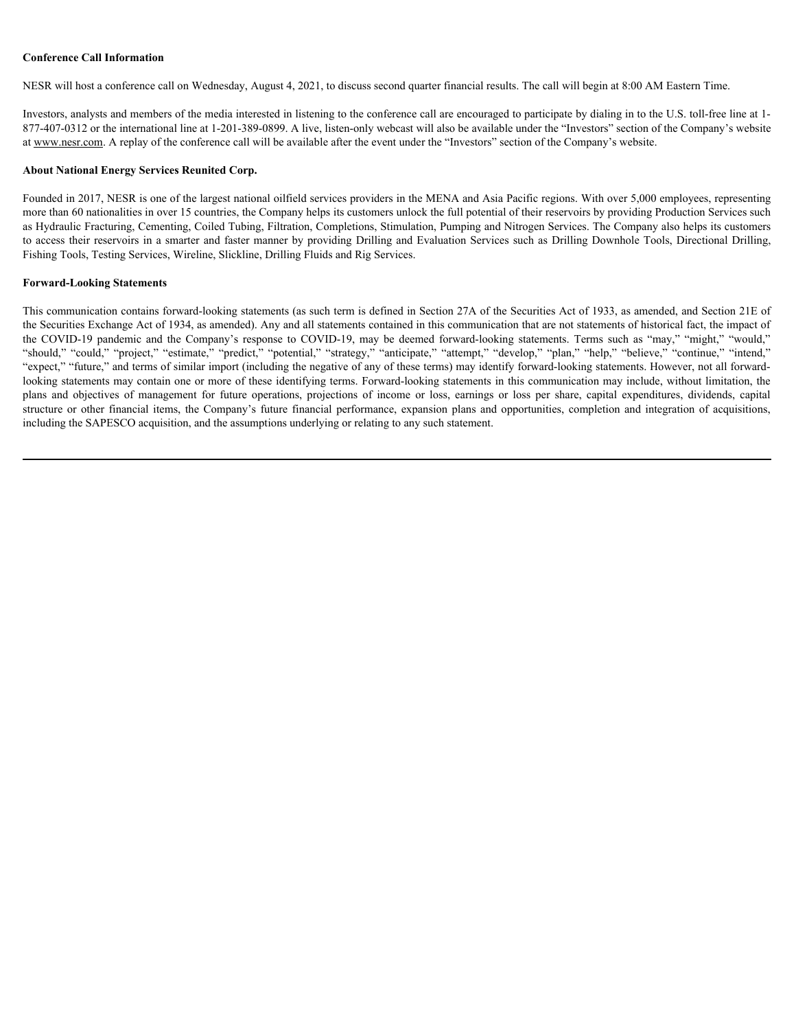#### **Conference Call Information**

NESR will host a conference call on Wednesday, August 4, 2021, to discuss second quarter financial results. The call will begin at 8:00 AM Eastern Time.

Investors, analysts and members of the media interested in listening to the conference call are encouraged to participate by dialing in to the U.S. toll-free line at 1- 877-407-0312 or the international line at 1-201-389-0899. A live, listen-only webcast will also be available under the "Investors" section of the Company's website at www.nesr.com. A replay of the conference call will be available after the event under the "Investors" section of the Company's website.

#### **About National Energy Services Reunited Corp.**

Founded in 2017, NESR is one of the largest national oilfield services providers in the MENA and Asia Pacific regions. With over 5,000 employees, representing more than 60 nationalities in over 15 countries, the Company helps its customers unlock the full potential of their reservoirs by providing Production Services such as Hydraulic Fracturing, Cementing, Coiled Tubing, Filtration, Completions, Stimulation, Pumping and Nitrogen Services. The Company also helps its customers to access their reservoirs in a smarter and faster manner by providing Drilling and Evaluation Services such as Drilling Downhole Tools, Directional Drilling, Fishing Tools, Testing Services, Wireline, Slickline, Drilling Fluids and Rig Services.

#### **Forward-Looking Statements**

This communication contains forward-looking statements (as such term is defined in Section 27A of the Securities Act of 1933, as amended, and Section 21E of the Securities Exchange Act of 1934, as amended). Any and all statements contained in this communication that are not statements of historical fact, the impact of Conference Call Information<br>NESR will host a conference call on Wednesday, August 4, 2021, to discuss second quarter financial results. The call will hegin at 8:00 AM Eastern Time,<br>Investion, analysis and members of the ma Conference Call Information<br>NESR will host a conference cull on Wedneday, August 4, 2021, to discuss second quarter financial results. The call will begin at 8:00 AM Eastern Time.<br>
Investors, analysts and members of the mo "expect," "future," and terms of similar import (including the negative of any of these terms) may identify forward-looking statements. However, not all forwardlooking statements may contain one or more of these identifying terms. Forward-looking statements in this communication may include, without limitation, the Conference Call Information<br>NESR will boat a conference call on Wednesday, August 4, 2021, to discuss second quarter financial results. The coll will begin at 8:00 AM Eastern Times,<br>Interactions, and meaning of the model i Conference Call Information<br>NESR will bost a conference call on Wednesdoy. August 4, 2021, to discuss second quanter financial results. The coll will begin at 500 AM Eastern Times,<br>Integrations, and menthers of the media i including the SAPESCO acquisition, and the assumptions underlying or relating to any such statement.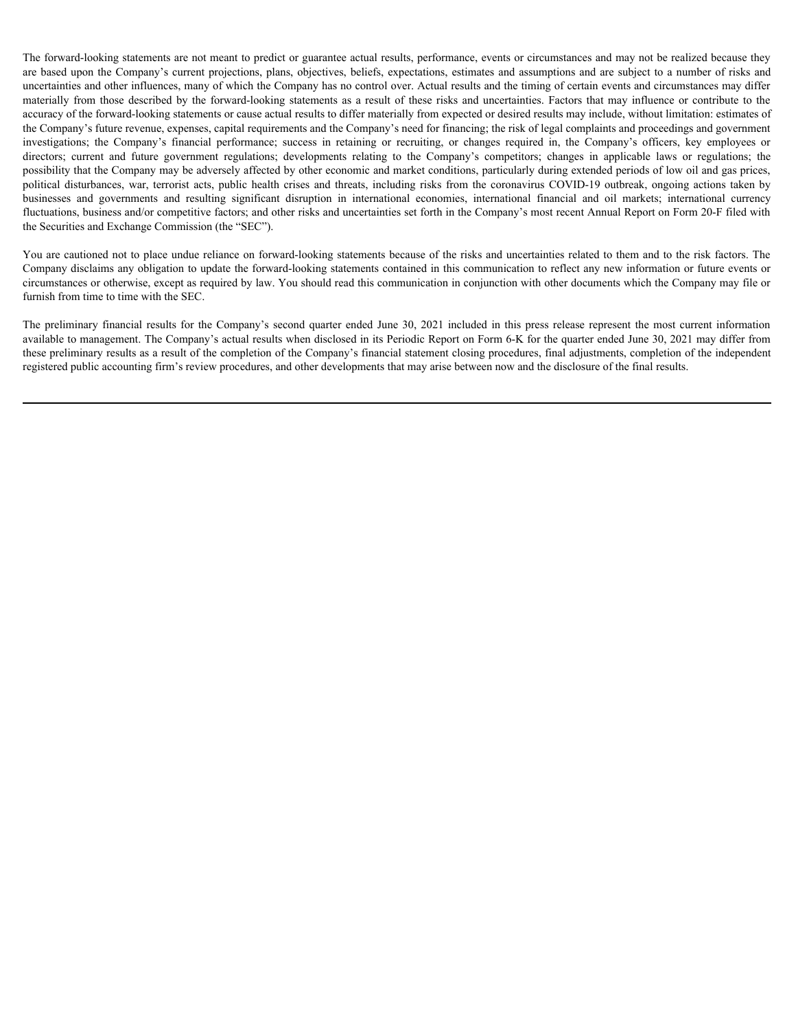The forward-looking statements are not meant to predict or guarantee actual results, performance, events or circumstances and may not be realized because they are based upon the Company's current projections, plans, objectives, beliefs, expectations, estimates and assumptions and are subject to a number of risks and uncertainties and other influences, many of which the Company has no control over. Actual results and the timing of certain events and circumstances may differ The forward-looking statements are not meant to predict or guarantee actual results, performance, events or circumstances and may not be realized because they are based upon the Company's current projections, plans, object accuracy of the forward-looking statements or cause actual results to differ materially from expected or desired results may include, without limitation: estimates of the Company's future revenue, expenses, capital requirements and the Company's need for financing; the risk of legal complaints and proceedings and government The forward-looking statements are not meant to predict or guarantee actual results, performance, events or circumstances and may not be realized because they are based upon the Company's current projections, plans, object The forward-looking statements are not meant to predict or guarantee actual results, performance, events or circumstances and may not be realized becauss they are based upon the Company's current projections, plans, object possibility that the Company may be adversely affected by other economic and market conditions, particularly during extended periods of low oil and gas prices, The forward-looking statements are not meant to predict or guarantee actual results, performance, events or circumstances and may not be realized because they are absed upon the Company's current projections, plans, object The forward-looking statements are not meant to predict or guarantee actual results, performance, events or circumstances and may not be realized because they are hased upon the Company's current projections, plans, object fluctuations, business and/or competitive factors; and other risks and uncertainties set forth in the Company's most recent Annual Report on Form 20-F filed with the Securities and Exchange Commission (the "SEC"). The forward-looking statements are not meant to predict or guarantee scual results, performance, events or correspondents and not predicted because the company's current prejections, company is current predicted by the an

You are cautioned not to place undue reliance on forward-looking statements because of the risks and uncertainties related to them and to the risk factors. The Company disclaims any obligation to update the forward-looking statements contained in this communication to reflect any new information or future events or circumstances or otherwise, except as required by law. You should read this communication in conjunction with other documents which the Company may file or furnish from time to time with the SEC.

available to management. The Company's actual results when disclosed in its Periodic Report on Form 6-K for the quarter ended June 30, 2021 may differ from these preliminary results as a result of the completion of the Company's financial statement closing procedures, final adjustments, completion of the independent registered public accounting firm's review procedures, and other developments that may arise between now and the disclosure of the final results.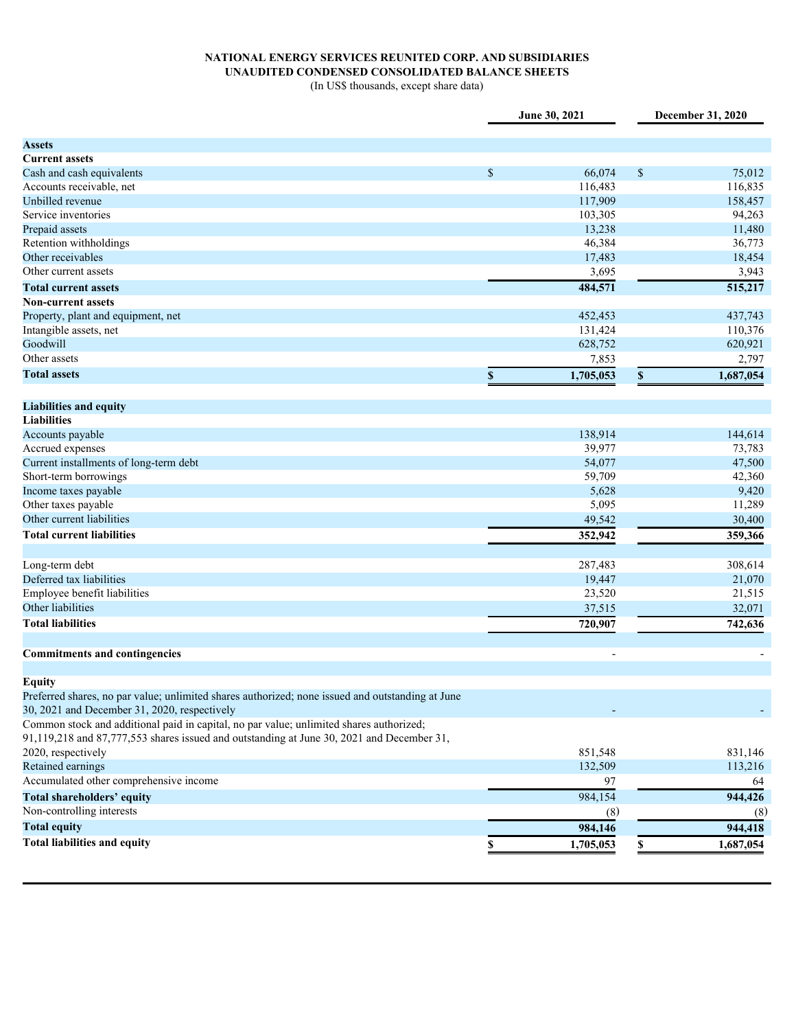## **NATIONAL ENERGY SERVICES REUNITED CORP. AND SUBSIDIARIES UNAUDITED CONDENSED CONSOLIDATED BALANCE SHEETS**

(In US\$ thousands, except share data)

|                                                                                                                                                  |              | June 30, 2021  |              | December 31, 2020 |
|--------------------------------------------------------------------------------------------------------------------------------------------------|--------------|----------------|--------------|-------------------|
| Assets                                                                                                                                           |              |                |              |                   |
| <b>Current assets</b>                                                                                                                            |              |                |              |                   |
| Cash and cash equivalents                                                                                                                        | $\mathbb{S}$ | 66,074         | $\mathbb{S}$ | 75,012            |
| Accounts receivable, net                                                                                                                         |              | 116,483        |              | 116,835           |
| Unbilled revenue                                                                                                                                 |              | 117,909        |              | 158,457           |
| Service inventories                                                                                                                              |              | 103,305        |              | 94,263            |
| Prepaid assets                                                                                                                                   |              | 13,238         |              | 11,480            |
| Retention withholdings                                                                                                                           |              | 46,384         |              | 36,773            |
| Other receivables                                                                                                                                |              | 17,483         |              | 18,454            |
| Other current assets                                                                                                                             |              | 3,695          |              | 3,943             |
| <b>Total current assets</b>                                                                                                                      |              | 484,571        |              | 515,217           |
| <b>Non-current assets</b>                                                                                                                        |              |                |              |                   |
| Property, plant and equipment, net                                                                                                               |              | 452,453        |              | 437,743           |
| Intangible assets, net                                                                                                                           |              | 131,424        |              | 110,376           |
| Goodwill                                                                                                                                         |              | 628,752        |              | 620,921           |
| Other assets                                                                                                                                     |              | 7,853          |              | 2,797             |
| <b>Total assets</b>                                                                                                                              | \$.          | 1,705,053      | $\mathbb{S}$ | 1,687,054         |
|                                                                                                                                                  |              |                |              |                   |
| <b>Liabilities and equity</b>                                                                                                                    |              |                |              |                   |
| <b>Liabilities</b>                                                                                                                               |              |                |              |                   |
| Accounts payable                                                                                                                                 |              | 138,914        |              | 144,614           |
| Accrued expenses                                                                                                                                 |              | 39,977         |              | 73,783            |
| Current installments of long-term debt                                                                                                           |              | 54,077         |              | 47,500            |
| Short-term borrowings                                                                                                                            |              | 59,709         |              | 42,360            |
| Income taxes payable                                                                                                                             |              | 5,628          |              | 9,420             |
| Other taxes payable                                                                                                                              |              | 5,095          |              | 11,289            |
| Other current liabilities                                                                                                                        |              |                |              |                   |
|                                                                                                                                                  |              | 49,542         |              | 30,400            |
| <b>Total current liabilities</b>                                                                                                                 |              | 352,942        |              | 359,366           |
| Long-term debt                                                                                                                                   |              | 287,483        |              | 308,614           |
| Deferred tax liabilities                                                                                                                         |              | 19,447         |              | 21,070            |
| Employee benefit liabilities                                                                                                                     |              | 23,520         |              | 21,515            |
| Other liabilities                                                                                                                                |              | 37,515         |              | 32,071            |
| <b>Total liabilities</b>                                                                                                                         |              | 720,907        |              | 742,636           |
|                                                                                                                                                  |              |                |              |                   |
| <b>Commitments and contingencies</b>                                                                                                             |              | $\overline{a}$ |              |                   |
|                                                                                                                                                  |              |                |              |                   |
| <b>Equity</b>                                                                                                                                    |              |                |              |                   |
| Preferred shares, no par value; unlimited shares authorized; none issued and outstanding at June<br>30, 2021 and December 31, 2020, respectively |              |                |              |                   |
| Common stock and additional paid in capital, no par value; unlimited shares authorized;                                                          |              |                |              |                   |
| 91,119,218 and 87,777,553 shares issued and outstanding at June 30, 2021 and December 31,                                                        |              |                |              |                   |
| 2020, respectively                                                                                                                               |              | 851,548        |              | 831,146           |
| Retained earnings                                                                                                                                |              | 132,509        |              | 113,216           |
| Accumulated other comprehensive income                                                                                                           |              | 97             |              | 64                |
| <b>Total shareholders' equity</b>                                                                                                                |              | 984,154        |              | 944,426           |
| Non-controlling interests                                                                                                                        |              | (8)            |              | (8)               |
| <b>Total equity</b>                                                                                                                              |              | 984,146        |              | 944,418           |
| <b>Total liabilities and equity</b>                                                                                                              |              |                |              |                   |
|                                                                                                                                                  |              | 1,705,053      | S            | 1,687,054         |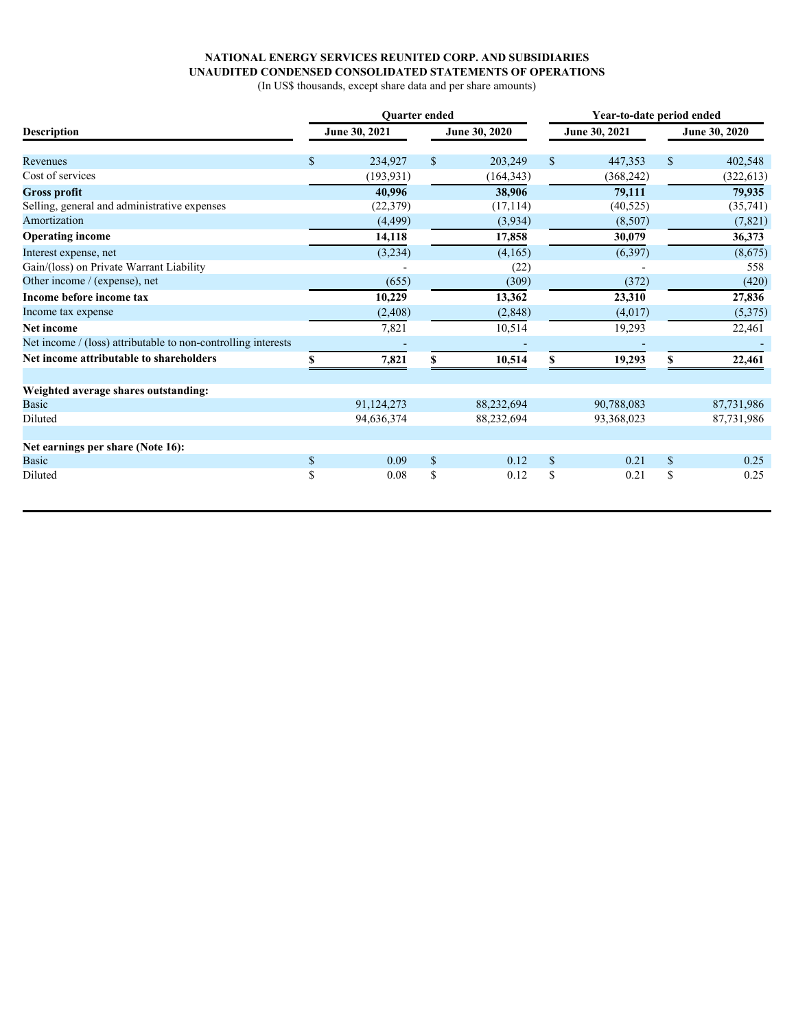#### **NATIONAL ENERGY SERVICES REUNITED CORP. AND SUBSIDIARIES UNAUDITED CONDENSED CONSOLIDATED STATEMENTS OF OPERATIONS**

(In US\$ thousands, except share data and per share amounts)

| <b>Description</b><br>June 30, 2020<br>June 30, 2021<br><b>June 30, 2020</b><br>June 30, 2021<br>Revenues<br>203,249<br>402,548<br>$\mathbf{s}$<br>234,927<br>$\mathbb{S}$<br>\$<br>447,353<br>$\mathbb{S}$<br>Cost of services<br>(193, 931)<br>(164, 343)<br>(368, 242)<br>(322, 613)<br>40,996<br>38,906<br><b>Gross profit</b><br>79,111<br>79,935<br>Selling, general and administrative expenses<br>(22, 379)<br>(17, 114)<br>(40, 525)<br>(35,741)<br>(7, 821)<br>Amortization<br>(4, 499)<br>(3,934)<br>(8,507)<br><b>Operating income</b><br>14,118<br>30,079<br>36,373<br>17,858<br>(3,234)<br>(6, 397)<br>(8,675)<br>(4,165)<br>Interest expense, net<br>Gain/(loss) on Private Warrant Liability<br>558<br>(22)<br>Other income / (expense), net<br>(655)<br>(309)<br>(372)<br>(420)<br>10,229<br>23,310<br>27,836<br>Income before income tax<br>13,362<br>Income tax expense<br>(2, 408)<br>(2, 848)<br>(4,017)<br>(5,375)<br>Net income<br>7,821<br>19,293<br>22,461<br>10,514<br>Net income / (loss) attributable to non-controlling interests<br>Net income attributable to shareholders<br>19,293<br>7,821<br>10,514<br>22,461 |
|--------------------------------------------------------------------------------------------------------------------------------------------------------------------------------------------------------------------------------------------------------------------------------------------------------------------------------------------------------------------------------------------------------------------------------------------------------------------------------------------------------------------------------------------------------------------------------------------------------------------------------------------------------------------------------------------------------------------------------------------------------------------------------------------------------------------------------------------------------------------------------------------------------------------------------------------------------------------------------------------------------------------------------------------------------------------------------------------------------------------------------------------------|
|                                                                                                                                                                                                                                                                                                                                                                                                                                                                                                                                                                                                                                                                                                                                                                                                                                                                                                                                                                                                                                                                                                                                                  |
|                                                                                                                                                                                                                                                                                                                                                                                                                                                                                                                                                                                                                                                                                                                                                                                                                                                                                                                                                                                                                                                                                                                                                  |
|                                                                                                                                                                                                                                                                                                                                                                                                                                                                                                                                                                                                                                                                                                                                                                                                                                                                                                                                                                                                                                                                                                                                                  |
|                                                                                                                                                                                                                                                                                                                                                                                                                                                                                                                                                                                                                                                                                                                                                                                                                                                                                                                                                                                                                                                                                                                                                  |
|                                                                                                                                                                                                                                                                                                                                                                                                                                                                                                                                                                                                                                                                                                                                                                                                                                                                                                                                                                                                                                                                                                                                                  |
|                                                                                                                                                                                                                                                                                                                                                                                                                                                                                                                                                                                                                                                                                                                                                                                                                                                                                                                                                                                                                                                                                                                                                  |
|                                                                                                                                                                                                                                                                                                                                                                                                                                                                                                                                                                                                                                                                                                                                                                                                                                                                                                                                                                                                                                                                                                                                                  |
|                                                                                                                                                                                                                                                                                                                                                                                                                                                                                                                                                                                                                                                                                                                                                                                                                                                                                                                                                                                                                                                                                                                                                  |
|                                                                                                                                                                                                                                                                                                                                                                                                                                                                                                                                                                                                                                                                                                                                                                                                                                                                                                                                                                                                                                                                                                                                                  |
|                                                                                                                                                                                                                                                                                                                                                                                                                                                                                                                                                                                                                                                                                                                                                                                                                                                                                                                                                                                                                                                                                                                                                  |
|                                                                                                                                                                                                                                                                                                                                                                                                                                                                                                                                                                                                                                                                                                                                                                                                                                                                                                                                                                                                                                                                                                                                                  |
|                                                                                                                                                                                                                                                                                                                                                                                                                                                                                                                                                                                                                                                                                                                                                                                                                                                                                                                                                                                                                                                                                                                                                  |
|                                                                                                                                                                                                                                                                                                                                                                                                                                                                                                                                                                                                                                                                                                                                                                                                                                                                                                                                                                                                                                                                                                                                                  |
|                                                                                                                                                                                                                                                                                                                                                                                                                                                                                                                                                                                                                                                                                                                                                                                                                                                                                                                                                                                                                                                                                                                                                  |
|                                                                                                                                                                                                                                                                                                                                                                                                                                                                                                                                                                                                                                                                                                                                                                                                                                                                                                                                                                                                                                                                                                                                                  |
| Weighted average shares outstanding:                                                                                                                                                                                                                                                                                                                                                                                                                                                                                                                                                                                                                                                                                                                                                                                                                                                                                                                                                                                                                                                                                                             |
| <b>Basic</b><br>91,124,273<br>88,232,694<br>87,731,986<br>90,788,083                                                                                                                                                                                                                                                                                                                                                                                                                                                                                                                                                                                                                                                                                                                                                                                                                                                                                                                                                                                                                                                                             |
| Diluted<br>94,636,374<br>88,232,694<br>87,731,986<br>93,368,023                                                                                                                                                                                                                                                                                                                                                                                                                                                                                                                                                                                                                                                                                                                                                                                                                                                                                                                                                                                                                                                                                  |
| Net earnings per share (Note 16):                                                                                                                                                                                                                                                                                                                                                                                                                                                                                                                                                                                                                                                                                                                                                                                                                                                                                                                                                                                                                                                                                                                |
| <b>Basic</b><br>0.09<br>\$<br>0.12<br>0.21<br>0.25<br><sup>\$</sup>                                                                                                                                                                                                                                                                                                                                                                                                                                                                                                                                                                                                                                                                                                                                                                                                                                                                                                                                                                                                                                                                              |
| Diluted<br>0.08<br>0.21<br>S<br>S<br>0.12<br><sup>\$</sup><br>0.25<br>S                                                                                                                                                                                                                                                                                                                                                                                                                                                                                                                                                                                                                                                                                                                                                                                                                                                                                                                                                                                                                                                                          |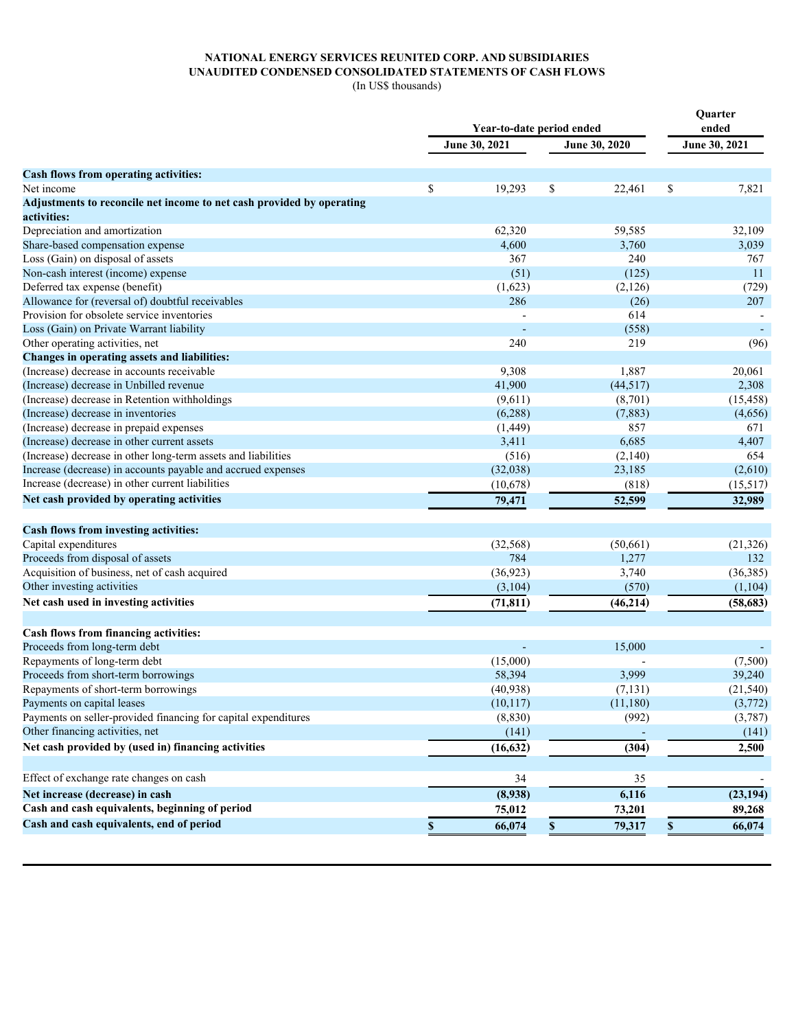## **NATIONAL ENERGY SERVICES REUNITED CORP. AND SUBSIDIARIES UNAUDITED CONDENSED CONSOLIDATED STATEMENTS OF CASH FLOWS**

(In US\$ thousands)

|                                                                       |    | Year-to-date period ended |     |               | Quarter<br>ended |  |  |  |
|-----------------------------------------------------------------------|----|---------------------------|-----|---------------|------------------|--|--|--|
|                                                                       |    | June 30, 2021             |     | June 30, 2020 | June 30, 2021    |  |  |  |
|                                                                       |    |                           |     |               |                  |  |  |  |
| Cash flows from operating activities:                                 |    |                           |     |               |                  |  |  |  |
| Net income                                                            | \$ | 19,293                    | \$  | 22,461        | \$<br>7,821      |  |  |  |
| Adjustments to reconcile net income to net cash provided by operating |    |                           |     |               |                  |  |  |  |
| activities:                                                           |    |                           |     |               |                  |  |  |  |
| Depreciation and amortization                                         |    | 62,320                    |     | 59,585        | 32,109           |  |  |  |
| Share-based compensation expense                                      |    | 4,600                     |     | 3,760         | 3,039            |  |  |  |
| Loss (Gain) on disposal of assets                                     |    | 367                       |     | 240           | 767              |  |  |  |
| Non-cash interest (income) expense                                    |    | (51)                      |     | (125)         | 11               |  |  |  |
| Deferred tax expense (benefit)                                        |    | (1,623)                   |     | (2,126)       | (729)            |  |  |  |
| Allowance for (reversal of) doubtful receivables                      |    | 286                       |     | (26)          | 207              |  |  |  |
| Provision for obsolete service inventories                            |    |                           |     | 614           |                  |  |  |  |
| Loss (Gain) on Private Warrant liability                              |    |                           |     | (558)         |                  |  |  |  |
| Other operating activities, net                                       |    | 240                       |     | 219           | (96)             |  |  |  |
| Changes in operating assets and liabilities:                          |    |                           |     |               |                  |  |  |  |
| (Increase) decrease in accounts receivable                            |    | 9,308                     |     | 1,887         | 20,061           |  |  |  |
| (Increase) decrease in Unbilled revenue                               |    | 41,900                    |     | (44, 517)     | 2,308            |  |  |  |
| (Increase) decrease in Retention withholdings                         |    | (9,611)                   |     | (8,701)       | (15, 458)        |  |  |  |
| (Increase) decrease in inventories                                    |    | (6,288)                   |     | (7,883)       | (4,656)          |  |  |  |
| (Increase) decrease in prepaid expenses                               |    | (1,449)                   |     | 857           | 671              |  |  |  |
| (Increase) decrease in other current assets                           |    | 3,411                     |     | 6,685         | 4,407            |  |  |  |
| (Increase) decrease in other long-term assets and liabilities         |    | (516)                     |     | (2,140)       | 654              |  |  |  |
| Increase (decrease) in accounts payable and accrued expenses          |    | (32,038)                  |     | 23,185        | (2,610)          |  |  |  |
| Increase (decrease) in other current liabilities                      |    | (10,678)                  |     | (818)         | (15, 517)        |  |  |  |
| Net cash provided by operating activities                             |    | 79,471                    |     | 52,599        | 32,989           |  |  |  |
| Cash flows from investing activities:                                 |    |                           |     |               |                  |  |  |  |
| Capital expenditures                                                  |    | (32, 568)                 |     | (50,661)      | (21, 326)        |  |  |  |
| Proceeds from disposal of assets                                      |    | 784                       |     | 1,277         | 132              |  |  |  |
| Acquisition of business, net of cash acquired                         |    | (36, 923)                 |     | 3,740         | (36, 385)        |  |  |  |
|                                                                       |    |                           |     |               |                  |  |  |  |
| Other investing activities                                            |    | (3,104)                   |     | (570)         | (1,104)          |  |  |  |
| Net cash used in investing activities                                 |    | (71, 811)                 |     | (46, 214)     | (58, 683)        |  |  |  |
| Cash flows from financing activities:                                 |    |                           |     |               |                  |  |  |  |
| Proceeds from long-term debt                                          |    |                           |     | 15,000        |                  |  |  |  |
| Repayments of long-term debt                                          |    | (15,000)                  |     |               | (7,500)          |  |  |  |
| Proceeds from short-term borrowings                                   |    | 58,394                    |     | 3,999         | 39,240           |  |  |  |
| Repayments of short-term borrowings                                   |    | (40, 938)                 |     | (7, 131)      | (21, 540)        |  |  |  |
| Payments on capital leases                                            |    | (10, 117)                 |     | (11, 180)     | (3,772)          |  |  |  |
| Payments on seller-provided financing for capital expenditures        |    | (8, 830)                  |     | (992)         | (3,787)          |  |  |  |
| Other financing activities, net                                       |    | (141)                     |     |               | (141)            |  |  |  |
| Net cash provided by (used in) financing activities                   |    | (16, 632)                 |     | (304)         | 2,500            |  |  |  |
|                                                                       |    |                           |     |               |                  |  |  |  |
| Effect of exchange rate changes on cash                               |    | 34                        |     | 35            |                  |  |  |  |
| Net increase (decrease) in cash                                       |    | (8,938)                   |     | 6,116         | (23, 194)        |  |  |  |
| Cash and cash equivalents, beginning of period                        |    | 75,012                    |     | 73,201        | 89,268           |  |  |  |
| Cash and cash equivalents, end of period                              |    | 66,074                    |     | 79,317        | 66,074           |  |  |  |
|                                                                       | S. |                           | SS. |               |                  |  |  |  |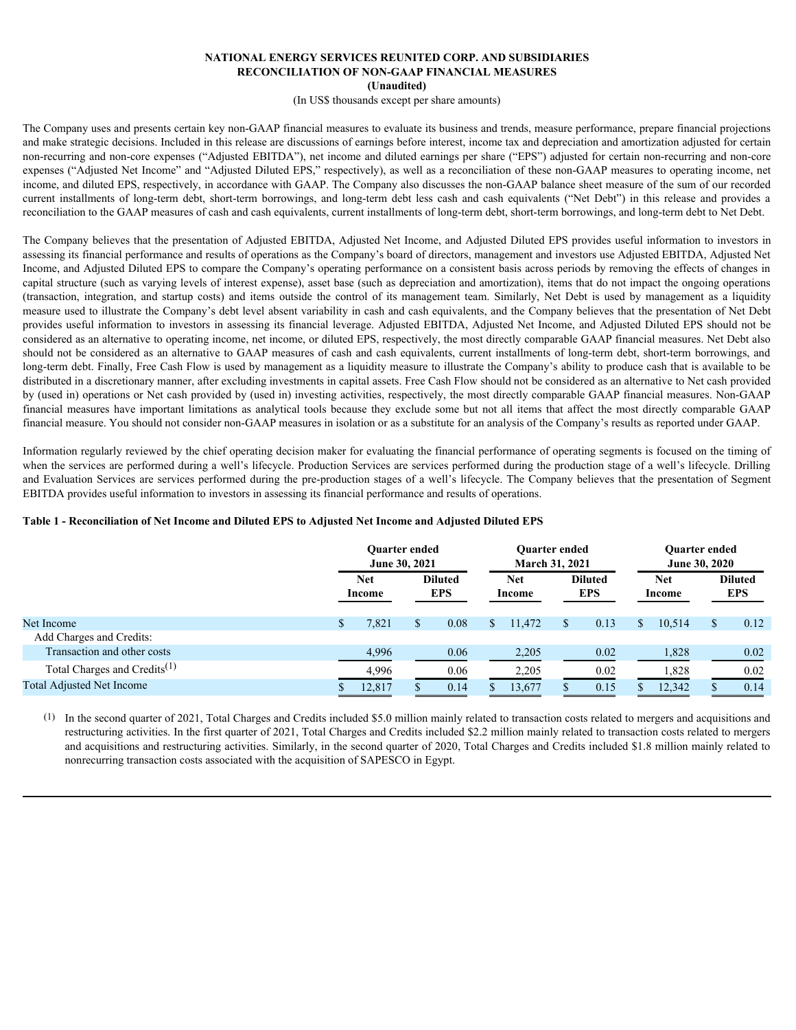#### **NATIONAL ENERGY SERVICES REUNITED CORP. AND SUBSIDIARIES RECONCILIATION OF NON-GAAP FINANCIAL MEASURES (Unaudited)**

(In US\$ thousands except per share amounts)

The Company uses and presents certain key non-GAAP financial measures to evaluate its business and trends, measure performance, prepare financial projections and make strategic decisions. Included in this release are discussions of earnings before interest, income tax and depreciation and amortization adjusted for certain non-recurring and non-core expenses ("Adjusted EBITDA"), net income and diluted earnings per share ("EPS") adjusted for certain non-recurring and non-core expenses ("Adjusted Net Income" and "Adjusted Diluted EPS," respectively), as well as a reconciliation of these non-GAAP measures to operating income, net income, and diluted EPS, respectively, in accordance with GAAP. The Company also discusses the non-GAAP balance sheet measure of the sum of our recorded NATIONAL ENERGY SERVICES REUNTED CORP. AND SUBSIDIARIES RECORPTION ARE RECORPTION OF NON-GAAP FINANCIAL MEASURES (Unaudited)<br>
(In USS thousands except per share announts)<br>
(In USS thousands creept per share announts)<br>
and reconciliation to the GAAP measures of cash and cash equivalents, current installments of long-term debt, short-term borrowings, and long-term debt to Net Debt.

The Company believes that the presentation of Adjusted EBITDA, Adjusted Net Income, and Adjusted Diluted EPS provides useful information to investors in assessing its financial performance and results of operations as the Company's board of directors, management and investors use Adjusted EBITDA, Adjusted Net Income, and Adjusted Diluted EPS to compare the Company's operating performance on a consistent basis across periods by removing the effects of changes in capital structure (such as varying levels of interest expense), asset base (such as depreciation and amortization), items that do not impact the ongoing operations NATIONAL ENERGY SERVICES REUNTEED CORP. AND SUBSIDIARIES RECONNIBY (ILLERTORY AND SUBSIDENTS) The COMPROM CORP (ILLERTORY SUBSIDENTS) The COMPROM CONTROL (ILLERTORY INTEGRATION) (ILLES SUBSIDE COMPROME SUBSIDE THE COMPROM measure used to illustrate the Company's debt level absent variability in cash and cash equivalents, and the Company believes that the presentation of Net Debt provides useful information to investors in assessing its financial leverage. Adjusted EBITDA, Adjusted Net Income, and Adjusted Diluted EPS should not be considered as an alternative to operating income, net income, or diluted EPS, respectively, the most directly comparable GAAP financial measures. Net Debt also should not be considered as an alternative to GAAP measures of cash and cash equivalents, current installments of long-term debt, short-term borrowings, and long-term debt. Finally, Free Cash Flow is used by management as a liquidity measure to illustrate the Company's ability to produce cash that is available to be distributed in a discretionary manner, after excluding investments in capital assets. Free Cash Flow should not be considered as an alternative to Net cash provided by (used in) operations or Net cash provided by (used in) investing activities, respectively, the most directly comparable GAAP financial measures. Non-GAAP **EXECUTE ANTIONAL ENERGY SERVICES REUNTED CORP. AND SUBSIDENTS SERVICES AND ARREST ANTION OF MONAL ANTEND ANTION CONTENTS ANTEND IN CONTENTS AND A CONSERVATE CONTENTS (FIRE CONTENTS) and a maximized the solid of the some** financial measure. You should not consider non-GAAP measures in isolation or as a substitute for an analysis of the Company's results as reported under GAAP.

Information regularly reviewed by the chief operating decision maker for evaluating the financial performance of operating segments is focused on the timing of when the services are performed during a well's lifecycle. Production Services are services performed during the production stage of a well's lifecycle. Drilling and Evaluation Services are services performed during the pre-production stages of a well's lifecycle. The Company believes that the presentation of Segment EBITDA provides useful information to investors in assessing its financial performance and results of operations.

#### **Table 1 - Reconciliation of Net Income and Diluted EPS to Adjusted Net Income and Adjusted Diluted EPS**

|                                          | <b>Ouarter ended</b><br>June 30, 2021 |                       | <b>Ouarter ended</b><br><b>March 31, 2021</b> |                      |  |                              | <b>Ouarter ended</b><br><b>June 30, 2020</b> |                      |  |                              |  |
|------------------------------------------|---------------------------------------|-----------------------|-----------------------------------------------|----------------------|--|------------------------------|----------------------------------------------|----------------------|--|------------------------------|--|
|                                          | <b>Net</b><br>Income                  | <b>Diluted</b><br>EPS |                                               | <b>Net</b><br>Income |  | <b>Diluted</b><br><b>EPS</b> |                                              | <b>Net</b><br>Income |  | <b>Diluted</b><br><b>EPS</b> |  |
| Net Income                               | 7,821                                 | 0.08                  |                                               | 1,472                |  | 0.13                         |                                              | 10,514               |  | 0.12                         |  |
| Add Charges and Credits:                 |                                       |                       |                                               |                      |  |                              |                                              |                      |  |                              |  |
| Transaction and other costs              | 4,996                                 | 0.06                  |                                               | 2,205                |  | 0.02                         |                                              | 1,828                |  | 0.02                         |  |
| Total Charges and Credits <sup>(1)</sup> | 4,996                                 | 0.06                  |                                               | 2,205                |  | 0.02                         |                                              | 1,828                |  | 0.02                         |  |
| <b>Total Adjusted Net Income</b>         | 12,817                                | 0.14                  |                                               | 13,677               |  | 0.15                         |                                              | 12,342               |  | 0.14                         |  |
|                                          |                                       |                       |                                               |                      |  |                              |                                              |                      |  |                              |  |

(1) In the second quarter of 2021, Total Charges and Credits included \$5.0 million mainly related to transaction costs related to mergers and acquisitions and restructuring activities. In the first quarter of 2021, Total Charges and Credits included \$2.2 million mainly related to transaction costs related to mergers and acquisitions and restructuring activities. Similarly, in the second quarter of 2020, Total Charges and Credits included \$1.8 million mainly related to nonrecurring transaction costs associated with the acquisition of SAPESCO in Egypt.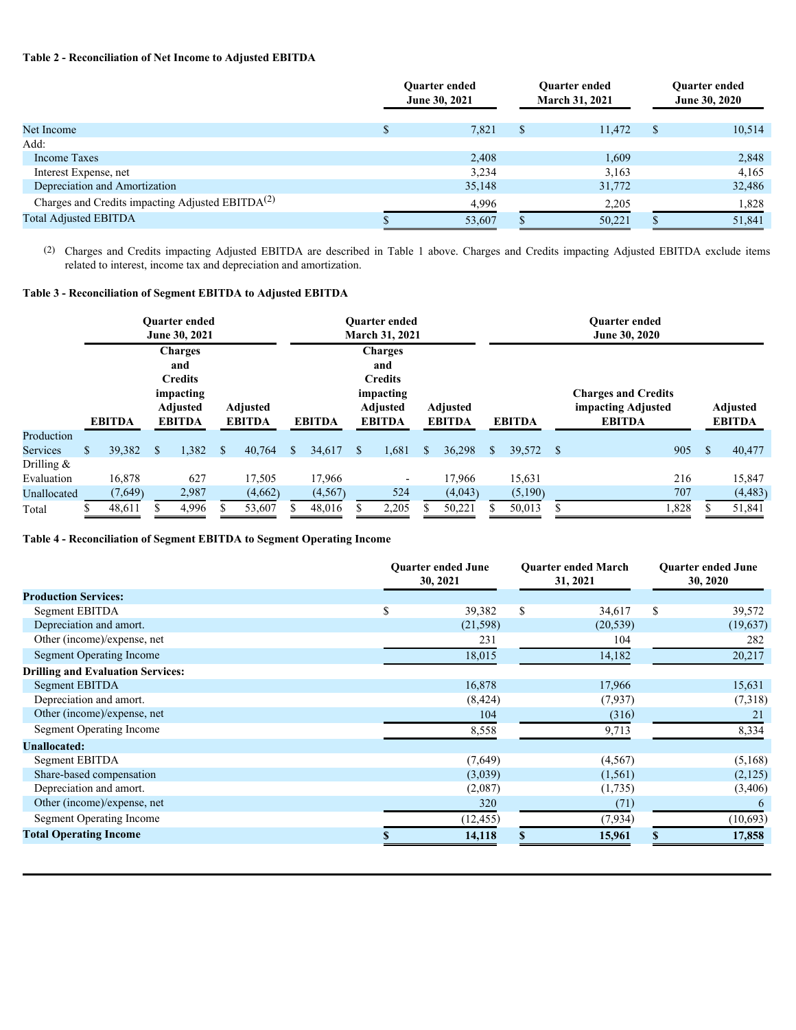#### **Table 2 - Reconciliation of Net Income to Adjusted EBITDA**

| Table 2 - Reconciliation of Net Income to Adjusted EBITDA<br>Quarter ended<br>Quarter ended<br>Quarter ended<br>June 30, 2021<br>March 31, 2021<br>June 30, 2020<br>Net Income<br>7,821<br>11,472<br>- \$<br>-S<br>Add:<br>2,408<br>1,609<br>Income Taxes<br>3,234<br>3,163<br>Interest Expense, net<br>Depreciation and Amortization<br>35,148<br>31,772<br>Charges and Credits impacting Adjusted EBITDA <sup>(2)</sup><br>4,996<br>2,205<br><b>Total Adjusted EBITDA</b><br>53,607<br>50,221<br>£.<br>related to interest, income tax and depreciation and amortization.<br>Table 3 - Reconciliation of Segment EBITDA to Adjusted EBITDA<br>Quarter ended<br>Quarter ended<br>Quarter ended<br>June 30, 2021<br>March 31, 2021<br>June 30, 2020 |  |  |  |
|-----------------------------------------------------------------------------------------------------------------------------------------------------------------------------------------------------------------------------------------------------------------------------------------------------------------------------------------------------------------------------------------------------------------------------------------------------------------------------------------------------------------------------------------------------------------------------------------------------------------------------------------------------------------------------------------------------------------------------------------------------|--|--|--|
| 10,514<br>2,848<br>4,165<br>32,486<br>1,828<br>51,841                                                                                                                                                                                                                                                                                                                                                                                                                                                                                                                                                                                                                                                                                               |  |  |  |
|                                                                                                                                                                                                                                                                                                                                                                                                                                                                                                                                                                                                                                                                                                                                                     |  |  |  |
|                                                                                                                                                                                                                                                                                                                                                                                                                                                                                                                                                                                                                                                                                                                                                     |  |  |  |
|                                                                                                                                                                                                                                                                                                                                                                                                                                                                                                                                                                                                                                                                                                                                                     |  |  |  |
|                                                                                                                                                                                                                                                                                                                                                                                                                                                                                                                                                                                                                                                                                                                                                     |  |  |  |
|                                                                                                                                                                                                                                                                                                                                                                                                                                                                                                                                                                                                                                                                                                                                                     |  |  |  |
|                                                                                                                                                                                                                                                                                                                                                                                                                                                                                                                                                                                                                                                                                                                                                     |  |  |  |
|                                                                                                                                                                                                                                                                                                                                                                                                                                                                                                                                                                                                                                                                                                                                                     |  |  |  |
|                                                                                                                                                                                                                                                                                                                                                                                                                                                                                                                                                                                                                                                                                                                                                     |  |  |  |
| (2) Charges and Credits impacting Adjusted EBITDA are described in Table 1 above. Charges and Credits impacting Adjusted EBITDA exclude items                                                                                                                                                                                                                                                                                                                                                                                                                                                                                                                                                                                                       |  |  |  |
|                                                                                                                                                                                                                                                                                                                                                                                                                                                                                                                                                                                                                                                                                                                                                     |  |  |  |
|                                                                                                                                                                                                                                                                                                                                                                                                                                                                                                                                                                                                                                                                                                                                                     |  |  |  |
|                                                                                                                                                                                                                                                                                                                                                                                                                                                                                                                                                                                                                                                                                                                                                     |  |  |  |
|                                                                                                                                                                                                                                                                                                                                                                                                                                                                                                                                                                                                                                                                                                                                                     |  |  |  |
|                                                                                                                                                                                                                                                                                                                                                                                                                                                                                                                                                                                                                                                                                                                                                     |  |  |  |
|                                                                                                                                                                                                                                                                                                                                                                                                                                                                                                                                                                                                                                                                                                                                                     |  |  |  |
|                                                                                                                                                                                                                                                                                                                                                                                                                                                                                                                                                                                                                                                                                                                                                     |  |  |  |
|                                                                                                                                                                                                                                                                                                                                                                                                                                                                                                                                                                                                                                                                                                                                                     |  |  |  |
|                                                                                                                                                                                                                                                                                                                                                                                                                                                                                                                                                                                                                                                                                                                                                     |  |  |  |
|                                                                                                                                                                                                                                                                                                                                                                                                                                                                                                                                                                                                                                                                                                                                                     |  |  |  |
|                                                                                                                                                                                                                                                                                                                                                                                                                                                                                                                                                                                                                                                                                                                                                     |  |  |  |
|                                                                                                                                                                                                                                                                                                                                                                                                                                                                                                                                                                                                                                                                                                                                                     |  |  |  |
|                                                                                                                                                                                                                                                                                                                                                                                                                                                                                                                                                                                                                                                                                                                                                     |  |  |  |
|                                                                                                                                                                                                                                                                                                                                                                                                                                                                                                                                                                                                                                                                                                                                                     |  |  |  |
| Charges<br>Charges                                                                                                                                                                                                                                                                                                                                                                                                                                                                                                                                                                                                                                                                                                                                  |  |  |  |

## **Table 3 - Reconciliation of Segment EBITDA to Adjusted EBITDA**

|               |               | <b>Ouarter ended</b><br>June 30, 2021                                             |    |                           |               |      | <b>Ouarter ended</b><br><b>March 31, 2021</b>                                     |                           |               | <b>Ouarter ended</b><br>June 30, 2020                             |                           |
|---------------|---------------|-----------------------------------------------------------------------------------|----|---------------------------|---------------|------|-----------------------------------------------------------------------------------|---------------------------|---------------|-------------------------------------------------------------------|---------------------------|
|               | <b>EBITDA</b> | <b>Charges</b><br>and<br><b>Credits</b><br>impacting<br>Adjusted<br><b>EBITDA</b> |    | Adjusted<br><b>EBITDA</b> | <b>EBITDA</b> |      | <b>Charges</b><br>and<br><b>Credits</b><br>impacting<br>Adjusted<br><b>EBITDA</b> | Adjusted<br><b>EBITDA</b> | <b>EBITDA</b> | <b>Charges and Credits</b><br>impacting Adjusted<br><b>EBITDA</b> | Adjusted<br><b>EBITDA</b> |
| Production    |               |                                                                                   |    |                           |               |      |                                                                                   |                           |               |                                                                   |                           |
| Services      | 39,382        | .382                                                                              | -8 | 40,764                    | 34,617        | - \$ | 1,681                                                                             | 36,298                    | 39,572 \$     | 905                                                               | 40,477                    |
| Drilling $\&$ |               |                                                                                   |    |                           |               |      |                                                                                   |                           |               |                                                                   |                           |
| Evaluation    | 16,878        | 627                                                                               |    | 17,505                    | 17,966        |      | $\overline{\phantom{0}}$                                                          | 17,966                    | 15,631        | 216                                                               | 15,847                    |
| Unallocated   | (7,649)       | 2,987                                                                             |    | (4,662)                   | (4, 567)      |      | 524                                                                               | (4,043)                   | (5,190)       | 707                                                               | (4, 483)                  |
| Total         | 48,611        | 4,996                                                                             |    | 53,607                    | 48,016        |      | 2,205                                                                             | 50,221                    | 50,013        | 1,828                                                             | 51,841                    |
|               |               |                                                                                   |    |                           |               |      |                                                                                   |                           |               |                                                                   |                           |

**Table 4 - Reconciliation of Segment EBITDA to Segment Operating Income**

|                                          | <b>Ouarter ended June</b><br>30, 2021 |     | <b>Ouarter ended March</b><br>31, 2021 | <b>Ouarter ended June</b><br>30, 2020 |           |  |  |
|------------------------------------------|---------------------------------------|-----|----------------------------------------|---------------------------------------|-----------|--|--|
| <b>Production Services:</b>              |                                       |     |                                        |                                       |           |  |  |
| Segment EBITDA                           | 39,382                                | \$. | 34,617                                 | \$.                                   | 39,572    |  |  |
| Depreciation and amort.                  | (21, 598)                             |     | (20, 539)                              |                                       | (19, 637) |  |  |
| Other (income)/expense, net              | 231                                   |     | 104                                    |                                       | 282       |  |  |
| <b>Segment Operating Income</b>          | 18,015                                |     | 14,182                                 |                                       | 20,217    |  |  |
| <b>Drilling and Evaluation Services:</b> |                                       |     |                                        |                                       |           |  |  |
| <b>Segment EBITDA</b>                    | 16,878                                |     | 17,966                                 |                                       | 15,631    |  |  |
| Depreciation and amort.                  | (8, 424)                              |     | (7,937)                                |                                       | (7,318)   |  |  |
| Other (income)/expense, net              | 104                                   |     | (316)                                  |                                       | 21        |  |  |
| <b>Segment Operating Income</b>          | 8,558                                 |     | 9,713                                  |                                       | 8,334     |  |  |
| <b>Unallocated:</b>                      |                                       |     |                                        |                                       |           |  |  |
| Segment EBITDA                           | (7,649)                               |     | (4, 567)                               |                                       | (5,168)   |  |  |
| Share-based compensation                 | (3,039)                               |     | (1, 561)                               |                                       | (2,125)   |  |  |
| Depreciation and amort.                  | (2,087)                               |     | (1,735)                                |                                       | (3,406)   |  |  |
| Other (income)/expense, net              | 320                                   |     | (71)                                   |                                       |           |  |  |
| <b>Segment Operating Income</b>          | (12, 455)                             |     | (7, 934)                               |                                       | (10, 693) |  |  |
| <b>Total Operating Income</b>            | 14,118                                |     | 15,961                                 |                                       | 17,858    |  |  |